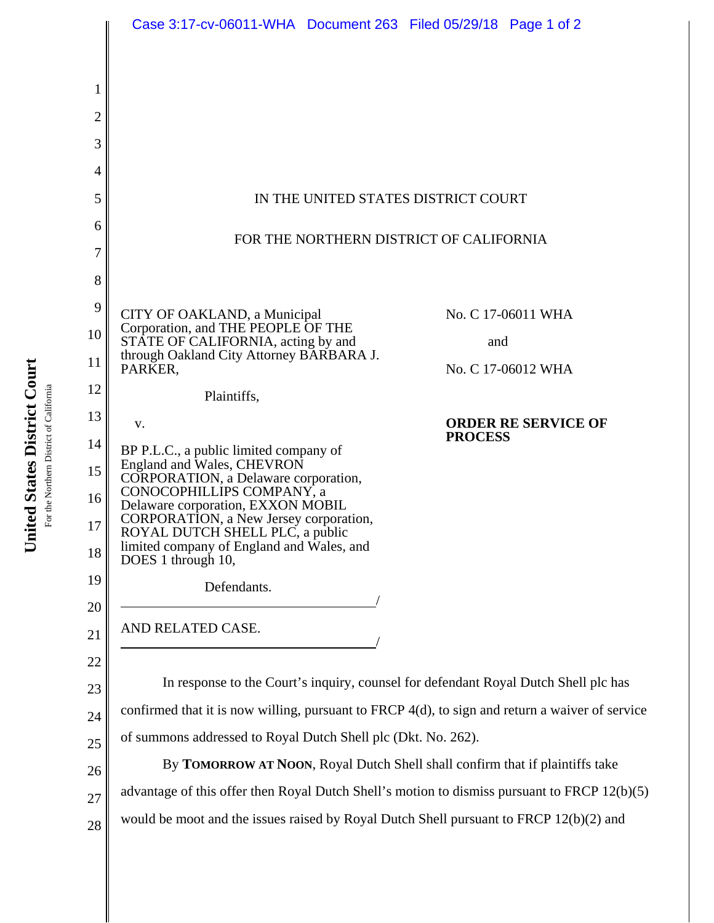|                | Case 3:17-cv-06011-WHA  Document 263  Filed 05/29/18  Page 1 of 2                               |                                              |
|----------------|-------------------------------------------------------------------------------------------------|----------------------------------------------|
|                |                                                                                                 |                                              |
|                |                                                                                                 |                                              |
| 1              |                                                                                                 |                                              |
| $\overline{c}$ |                                                                                                 |                                              |
| 3              |                                                                                                 |                                              |
| 4              |                                                                                                 |                                              |
| 5              | IN THE UNITED STATES DISTRICT COURT                                                             |                                              |
| 6              | FOR THE NORTHERN DISTRICT OF CALIFORNIA                                                         |                                              |
| 7              |                                                                                                 |                                              |
| 8              |                                                                                                 |                                              |
| 9              | CITY OF OAKLAND, a Municipal<br>Corporation, and THE PEOPLE OF THE                              | No. C 17-06011 WHA                           |
| 10             | STÂTE OF CALIFORNIA, acting by and<br>through Oakland City Attorney BARBARA J.                  | and                                          |
| 11             | PARKER,                                                                                         | No. C 17-06012 WHA                           |
| 12             | Plaintiffs,                                                                                     |                                              |
| 13             | V.                                                                                              | <b>ORDER RE SERVICE OF</b><br><b>PROCESS</b> |
| 14             | BP P.L.C., a public limited company of<br>England and Wales, CHEVRON                            |                                              |
| 15             | CORPORATION, a Delaware corporation,<br>CONOCOPHILLIPS COMPANY, a                               |                                              |
| 16             | Delaware corporation, EXXON MOBIL<br>CORPORATION, a New Jersey corporation,                     |                                              |
| 17             | ROYAL DUTCH SHELL PLC, a public<br>limited company of England and Wales, and                    |                                              |
| 18             | DOES 1 through 10,                                                                              |                                              |
| 19             | Defendants.                                                                                     |                                              |
| 20             | AND RELATED CASE.                                                                               |                                              |
| 21             |                                                                                                 |                                              |
| 22             | In response to the Court's inquiry, counsel for defendant Royal Dutch Shell plc has             |                                              |
| 23             | confirmed that it is now willing, pursuant to FRCP 4(d), to sign and return a waiver of service |                                              |
| 24             | of summons addressed to Royal Dutch Shell plc (Dkt. No. 262).                                   |                                              |
| 25             | By TOMORROW AT NOON, Royal Dutch Shell shall confirm that if plaintiffs take                    |                                              |
| 26             | advantage of this offer then Royal Dutch Shell's motion to dismiss pursuant to FRCP 12(b)(5)    |                                              |
| 27             | would be moot and the issues raised by Royal Dutch Shell pursuant to FRCP 12(b)(2) and          |                                              |
| 28             |                                                                                                 |                                              |

For the Northern District of California For the Northern District of California

United States District Court **United States District Court**